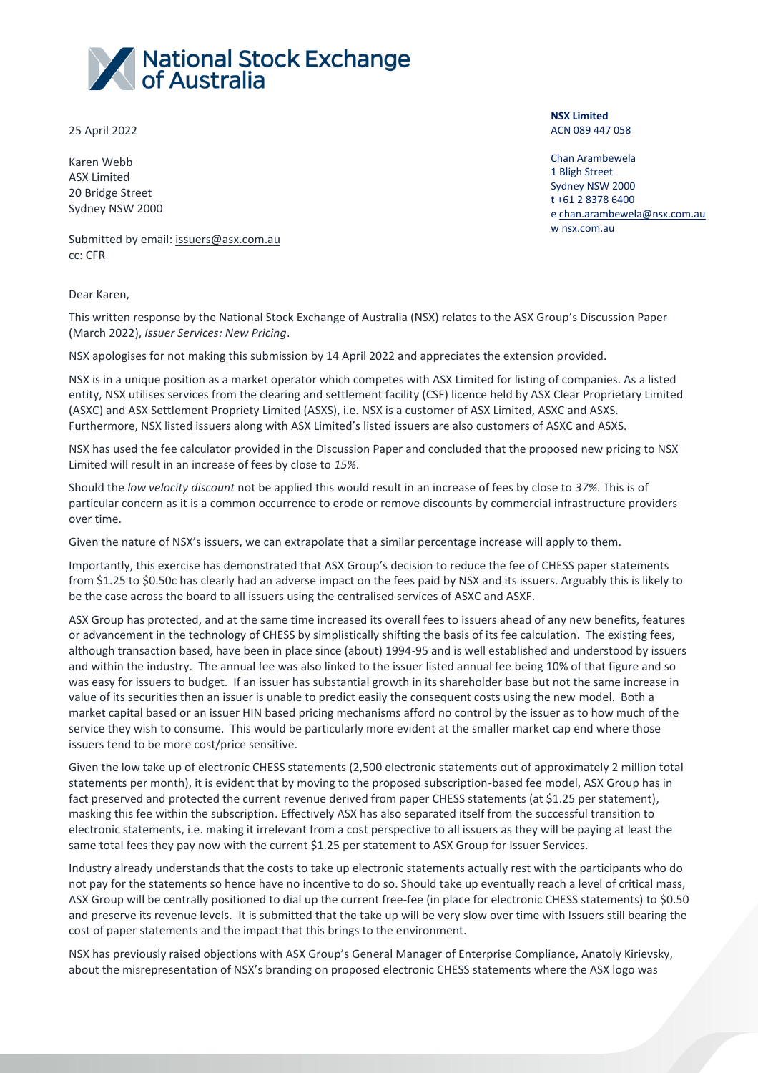

25 April 2022

Karen Webb ASX Limited 20 Bridge Street Sydney NSW 2000 **NSX Limited** ACN 089 447 058

Chan Arambewela 1 Bligh Street Sydney NSW 2000 t +61 2 8378 6400 e [chan.arambewela@nsx.com.au](mailto:chan.arambewela@nsx.com.au) w nsx.com.au

Submitted by email: [issuers@asx.com.au](mailto:issuers@asx.com.au) cc: CFR

Dear Karen,

This written response by the National Stock Exchange of Australia (NSX) relates to the ASX Group's Discussion Paper (March 2022), *Issuer Services: New Pricing*.

NSX apologises for not making this submission by 14 April 2022 and appreciates the extension provided.

NSX is in a unique position as a market operator which competes with ASX Limited for listing of companies. As a listed entity, NSX utilises services from the clearing and settlement facility (CSF) licence held by ASX Clear Proprietary Limited (ASXC) and ASX Settlement Propriety Limited (ASXS), i.e. NSX is a customer of ASX Limited, ASXC and ASXS. Furthermore, NSX listed issuers along with ASX Limited's listed issuers are also customers of ASXC and ASXS.

NSX has used the fee calculator provided in the Discussion Paper and concluded that the proposed new pricing to NSX Limited will result in an increase of fees by close to *15%*.

Should the *low velocity discount* not be applied this would result in an increase of fees by close to *37%*. This is of particular concern as it is a common occurrence to erode or remove discounts by commercial infrastructure providers over time.

Given the nature of NSX's issuers, we can extrapolate that a similar percentage increase will apply to them.

Importantly, this exercise has demonstrated that ASX Group's decision to reduce the fee of CHESS paper statements from \$1.25 to \$0.50c has clearly had an adverse impact on the fees paid by NSX and its issuers. Arguably this is likely to be the case across the board to all issuers using the centralised services of ASXC and ASXF.

ASX Group has protected, and at the same time increased its overall fees to issuers ahead of any new benefits, features or advancement in the technology of CHESS by simplistically shifting the basis of its fee calculation. The existing fees, although transaction based, have been in place since (about) 1994-95 and is well established and understood by issuers and within the industry. The annual fee was also linked to the issuer listed annual fee being 10% of that figure and so was easy for issuers to budget. If an issuer has substantial growth in its shareholder base but not the same increase in value of its securities then an issuer is unable to predict easily the consequent costs using the new model. Both a market capital based or an issuer HIN based pricing mechanisms afford no control by the issuer as to how much of the service they wish to consume. This would be particularly more evident at the smaller market cap end where those issuers tend to be more cost/price sensitive.

Given the low take up of electronic CHESS statements (2,500 electronic statements out of approximately 2 million total statements per month), it is evident that by moving to the proposed subscription-based fee model, ASX Group has in fact preserved and protected the current revenue derived from paper CHESS statements (at \$1.25 per statement), masking this fee within the subscription. Effectively ASX has also separated itself from the successful transition to electronic statements, i.e. making it irrelevant from a cost perspective to all issuers as they will be paying at least the same total fees they pay now with the current \$1.25 per statement to ASX Group for Issuer Services.

Industry already understands that the costs to take up electronic statements actually rest with the participants who do not pay for the statements so hence have no incentive to do so. Should take up eventually reach a level of critical mass, ASX Group will be centrally positioned to dial up the current free-fee (in place for electronic CHESS statements) to \$0.50 and preserve its revenue levels. It is submitted that the take up will be very slow over time with Issuers still bearing the cost of paper statements and the impact that this brings to the environment.

NSX has previously raised objections with ASX Group's General Manager of Enterprise Compliance, Anatoly Kirievsky, about the misrepresentation of NSX's branding on proposed electronic CHESS statements where the ASX logo was